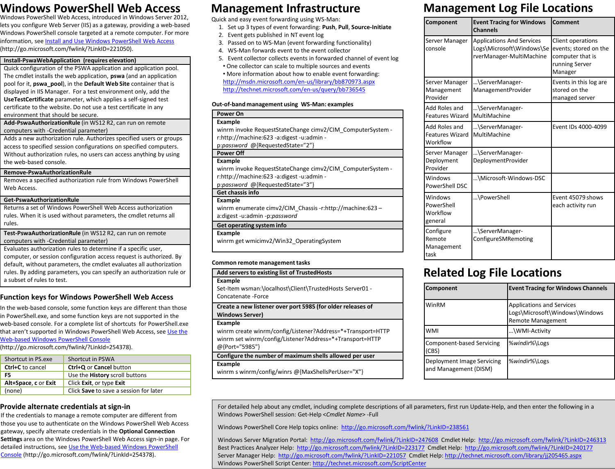# **Windows PowerShell Web Access**

Windows PowerShell Web Access, introduced in Windows Server 2012, lets you configure Web Server (IIS) as a gateway, providing a web-based Windows PowerShell console targeted at a remote computer. For more information, see [Install and Use Windows PowerShell Web Access](http://go.microsoft.com/fwlink/?LinkID=221050) (http://go.microsoft.com/fwlink/?LinkID=221050).

#### **Install-PswaWebApplication (requires elevation)**

Quick configuration of the PSWA application and application pool. The cmdlet installs the web application, **pswa** (and an application pool for it, **pswa\_pool**), in the **Default Web Site** container that is displayed in IIS Manager. For a test environment only, add the **UseTestCertificate** parameter, which applies a self-signed test certificate to the website. Do not use a test certificate in any environment that should be secure.

**Add-PswaAuthorizationRule** (in WS12 R2, can run on remote computers with -Credential parameter)

Adds a new authorization rule. Authorizes specified users or groups access to specified session configurations on specified computers. Without authorization rules, no users can access anything by using the web-based console.

#### **Remove-PswaAuthorizationRule**

Removes a specified authorization rule from Windows PowerShell Web Access.

#### **Get-PswaAuthorizationRule**

Returns a set of Windows PowerShell Web Access authorization rules. When it is used without parameters, the cmdlet returns all rules.

**Test-PswaAuthorizationRule** (in WS12 R2, can run on remote computers with -Credential parameter)

Evaluates authorization rules to determine if a specific user, computer, or session configuration access request is authorized. By default, without parameters, the cmdlet evaluates all authorization rules. By adding parameters, you can specify an authorization rule or a subset of rules to test.

### **Function keys for Windows PowerShell Web Access**

In the web-based console, some function keys are different than those in PowerShell.exe, and some function keys are not supported in the web-based console. For a complete list of shortcuts for PowerShell.exe that aren't supported in Windows PowerShell Web Access, see Use the [Web-based Windows PowerShell Console](http://go.microsoft.com/fwlink/?LinkId=254378)

(http://go.microsoft.com/fwlink/?LinkId=254378).

| Shortcut in PS.exe   | Shortcut in PSWA                       |  |
|----------------------|----------------------------------------|--|
| Ctrl+C to cancel     | Ctrl+Q or Cancel button                |  |
| F5                   | Use the <b>History</b> scroll buttons  |  |
| Alt+Space, c or Exit | Click Exit, or type Exit               |  |
| (none)               | Click Save to save a session for later |  |

### **Provide alternate credentials at sign-in**

If the credentials to manage a remote computer are different from those you use to authenticate on the Windows PowerShell Web Access gateway, specify alternate credentials in the **Optional Connection Settings** area on the Windows PowerShell Web Access sign-in page. For detailed instructions, see [Use the Web-based Windows PowerShell](http://go.microsoft.com/fwlink/?LinkId=254378)  [Console](http://go.microsoft.com/fwlink/?LinkId=254378) (http://go.microsoft.com/fwlink/?LinkId=254378).

### **Management Infrastructure**

Quick and easy event forwarding using WS-Man:

- 1. Set up 3 types of event forwarding: **Push**, **Pull**, **Source-Initiate**
- 2. Event gets published in NT event log
- 3. Passed on to WS-Man (event forwarding functionality)
- 4. WS-Man forwards event to the event collector
- 5. Event collector collects events in forwarded channel of event log • One collector can scale to multiple sources and events

• More information about how to enable event forwarding: <http://msdn.microsoft.com/en-us/library/bb870973.aspx>

<http://technet.microsoft.com/en-us/query/bb736545>

#### **Out-of-band management using WS-Man: examples**

#### **Power On**

### **Example**

winrm invoke RequestStateChange cimv2/CIM\_ComputerSystem r:http://machine:623 -a:digest -u:admin -

p:*password* @{RequestedState="2"}

### **Power Off**

#### **Example**

winrm invoke RequestStateChange cimv2/CIM\_ComputerSystem r:http://machine:623 -a:digest -u:admin -

p:*password* @{RequestedState="3"}

#### **Get chassis info**

#### **Example**

winrm enumerate cimv2/CIM\_Chassis -r:http://machine:623 – a:digest -u:admin -p:*password*

#### **Get operating system info**

#### **Example**

winrm get wmicimv2/Win32\_OperatingSystem

#### **Common remote management tasks**

#### **Add servers to existing list of TrustedHosts**

**Example**

Set-Item wsman:\localhost\Client\TrustedHosts Server01 - Concatenate -Force

**Create a new listener over port 5985 (for older releases of Windows Server)**

#### **Example**

winrm create winrm/config/Listener?Address=\*+Transport=HTTP winrm set winrm/config/Listener?Address=\*+Transport=HTTP @{Port="5985"}

#### **Configure the number of maximum shells allowed per user**

#### **Example**

winrm s winrm/config/winrs @{MaxShellsPerUser="X"}

# **Management Log File Locations**

| Component                                           | <b>Event Tracing for Windows</b><br><b>Channels</b>                                       | Comment                                                                                     |
|-----------------------------------------------------|-------------------------------------------------------------------------------------------|---------------------------------------------------------------------------------------------|
| Server Manager<br>console                           | <b>Applications And Services</b><br>Logs\Microsoft\Windows\Se<br>rverManager-MultiMachine | Client operations<br>events; stored on the<br>computer that is<br>running Server<br>Manager |
| Server Manager<br>Management<br>Provider            | \ServerManager-<br>ManagementProvider                                                     | Events in this log are<br>stored on the<br>managed server                                   |
| Add Roles and<br><b>Features Wizard</b>             | \ServerManager-<br>MultiMachine                                                           |                                                                                             |
| Add Roles and<br><b>Features Wizard</b><br>Workflow | \ServerManager-<br>MultiMachine                                                           | Event IDs 4000-4099                                                                         |
| Server Manager<br>Deployment<br>Provider            | \ServerManager-<br>DeploymentProvider                                                     |                                                                                             |
| Windows<br>PowerShell DSC                           | \Microsoft-Windows-DSC                                                                    |                                                                                             |
| Windows<br>PowerShell<br>Workflow<br>general        | \PowerShell                                                                               | Event 45079 shows<br>each activity run                                                      |
| Configure<br>Remote<br>Management<br>task           | \ServerManager-<br>ConfigureSMRemoting                                                    |                                                                                             |

# **Related Log File Locations**

| Component                                           | <b>Event Tracing for Windows Channels</b>                                               |
|-----------------------------------------------------|-----------------------------------------------------------------------------------------|
| WinRM                                               | Applications and Services<br>Logs\Microsoft\Windows\Windows<br><b>Remote Management</b> |
| <b>WMI</b>                                          | \WMI-Activity                                                                           |
| Component-based Servicing<br>(CBS)                  | %windir%\Logs                                                                           |
| Deployment Image Servicing<br>and Management (DISM) | %windir%\Logs                                                                           |

For detailed help about any cmdlet, including complete descriptions of all parameters, first run Update-Help, and then enter the following in a Windows PowerShell session: Get-Help <*Cmdlet Name*> -Full

Windows PowerShell Core Help topics online: <http://go.microsoft.com/fwlink/?LinkID=238561>

Windows Server Migration Portal: <http://go.microsoft.com/fwlink/?LinkID=247608> Cmdlet Help: <http://go.microsoft.com/fwlink/?LinkID=246313> Best Practices Analyzer Help: <http://go.microsoft.com/fwlink/?LinkID=223177> Cmdlet Help: <http://go.microsoft.com/fwlink/?LinkID=240177> Server Manager Help: <http://go.microsoft.com/fwlink/?LinkID=221057> Cmdlet Help: <http://technet.microsoft.com/library/jj205465.aspx> Windows PowerShell Script Center:<http://technet.microsoft.com/ScriptCenter>